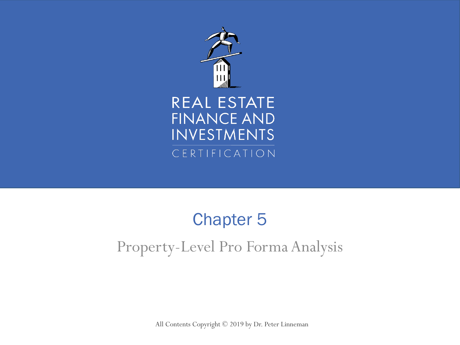

#### REAL ESTATE **FINANCE AND INVESTMENTS** CERTIFICATION

#### Property-Level Pro Forma Analysis Chapter 5

All Contents Copyright © 2019 by Dr. Peter Linneman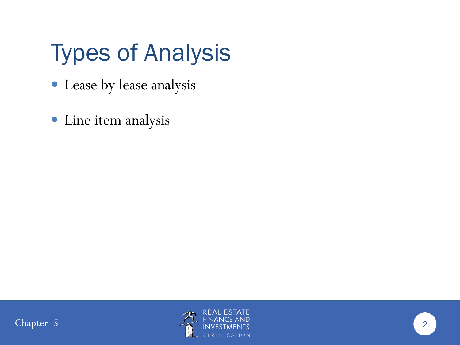# Types of Analysis

- Lease by lease analysis
- Line item analysis



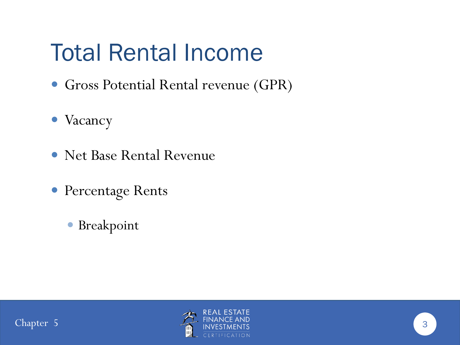### Total Rental Income

- Gross Potential Rental revenue (GPR)
- Vacancy
- Net Base Rental Revenue
- Percentage Rents
	- Breakpoint



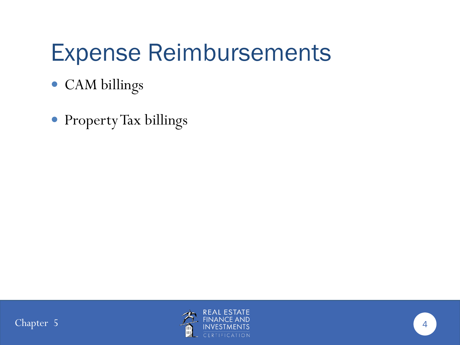#### Expense Reimbursements

- CAM billings
- Property Tax billings



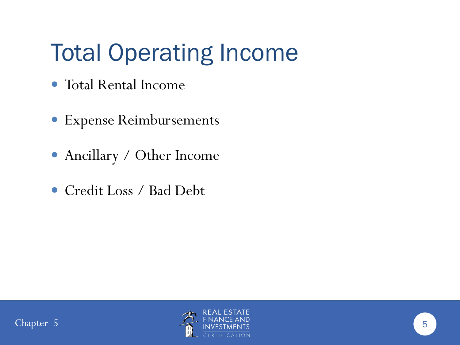# Total Operating Income

- Total Rental Income
- Expense Reimbursements
- Ancillary / Other Income
- Credit Loss / Bad Debt

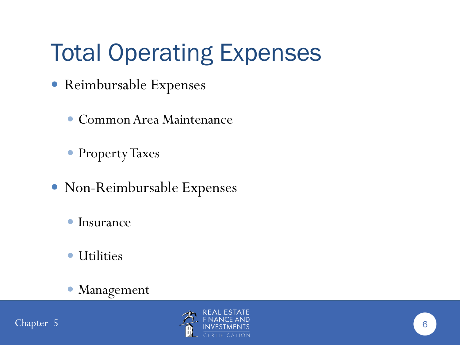# Total Operating Expenses

- Reimbursable Expenses
	- Common Area Maintenance
	- Property Taxes
- Non-Reimbursable Expenses
	- Insurance
	- Utilities
	- Management

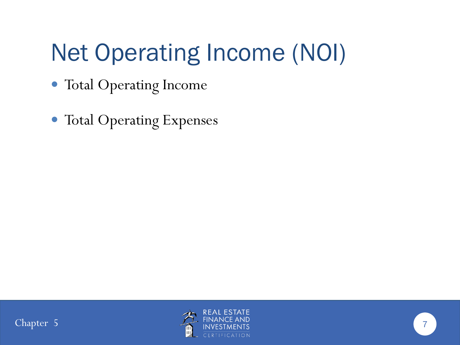# Net Operating Income (NOI)

- Total Operating Income
- Total Operating Expenses

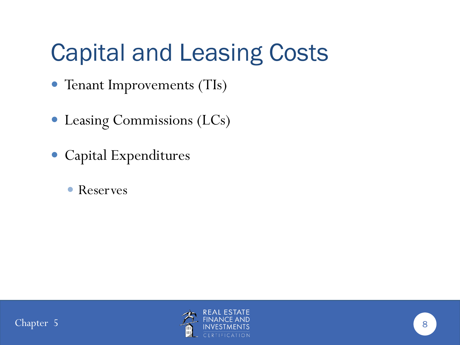# Capital and Leasing Costs

- Tenant Improvements (TIs)
- Leasing Commissions (LCs)
- Capital Expenditures
	- Reserves

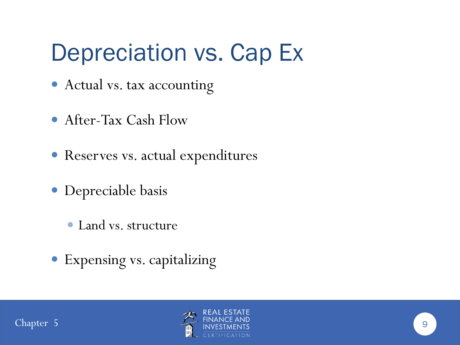#### Depreciation vs. Cap Ex

- Actual vs. tax accounting
- After-Tax Cash Flow
- Reserves vs. actual expenditures
- Depreciable basis
	- Land vs. structure
- Expensing vs. capitalizing

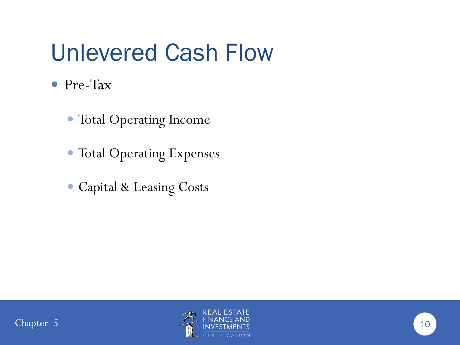#### Unlevered Cash Flow

- Pre-Tax
	- Total Operating Income
	- Total Operating Expenses
	- Capital & Leasing Costs

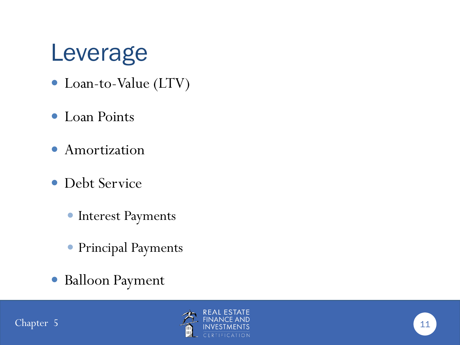#### Leverage

- Loan-to-Value (LTV)
- Loan Points
- **•** Amortization
- Debt Service
	- **Interest Payments**
	- Principal Payments
- Balloon Payment

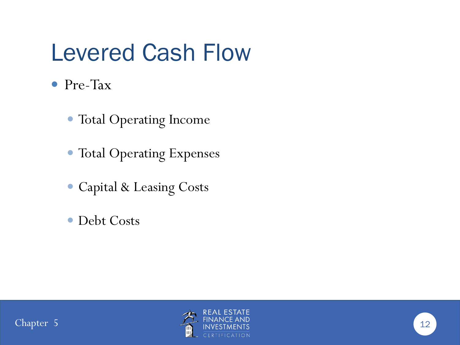#### Levered Cash Flow

- Pre-Tax
	- Total Operating Income
	- Total Operating Expenses
	- Capital & Leasing Costs
	- Debt Costs

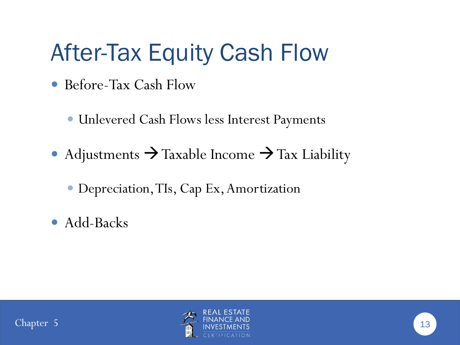## After-Tax Equity Cash Flow

- Before-Tax Cash Flow
	- Unlevered Cash Flows less Interest Payments
- Adjustments  $\rightarrow$  Taxable Income  $\rightarrow$  Tax Liability
	- Depreciation, TIs, Cap Ex, Amortization
- Add-Backs